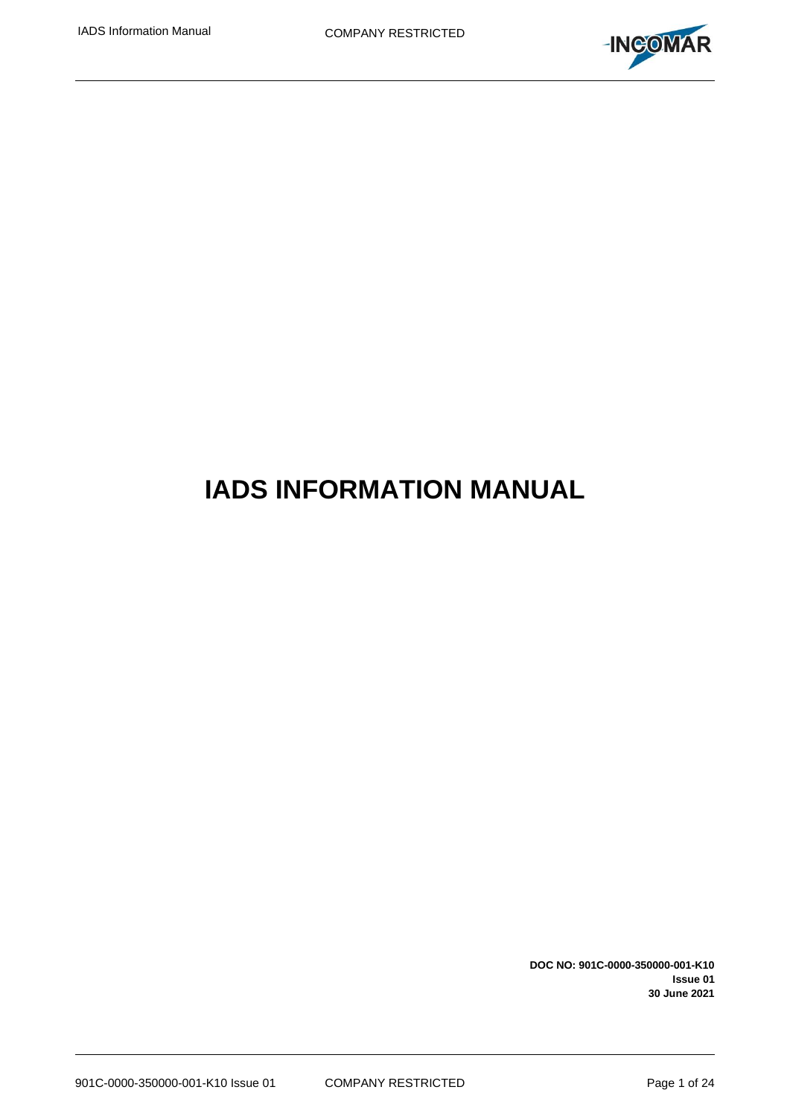

# **IADS INFORMATION MANUAL**

**DOC NO: 901C-0000-350000-001-K10 Issue 01 30 June 2021**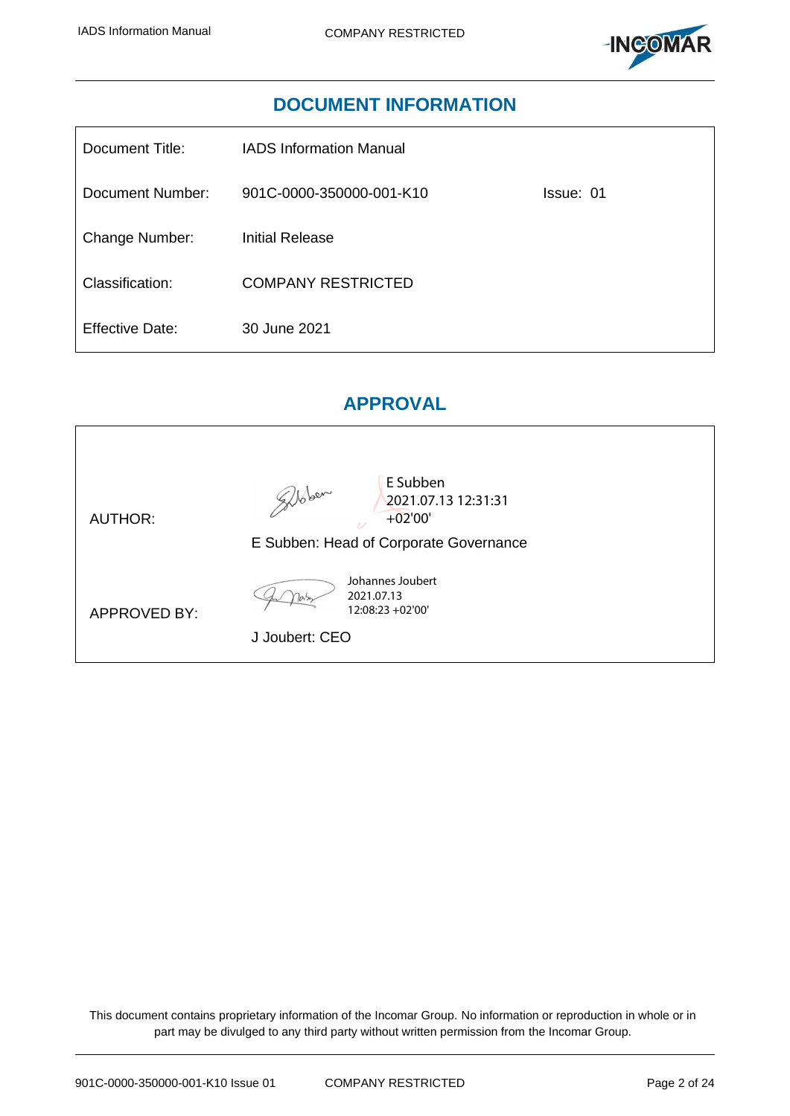

## **DOCUMENT INFORMATION**

| Document Title:  | <b>IADS Information Manual</b> |           |
|------------------|--------------------------------|-----------|
| Document Number: | 901C-0000-350000-001-K10       | Issue: 01 |
| Change Number:   | Initial Release                |           |
| Classification:  | <b>COMPANY RESTRICTED</b>      |           |
| Effective Date:  | 30 June 2021                   |           |

## **APPROVAL**

| <b>AUTHOR:</b>      | E Subben<br>glober<br>2021.07.13 12:31:31<br>$+02'00'$<br>E Subben: Head of Corporate Governance |
|---------------------|--------------------------------------------------------------------------------------------------|
| <b>APPROVED BY:</b> | Johannes Joubert<br>2021.07.13<br>12:08:23 +02'00'<br>J Joubert: CEO                             |

This document contains proprietary information of the Incomar Group. No information or reproduction in whole or in part may be divulged to any third party without written permission from the Incomar Group.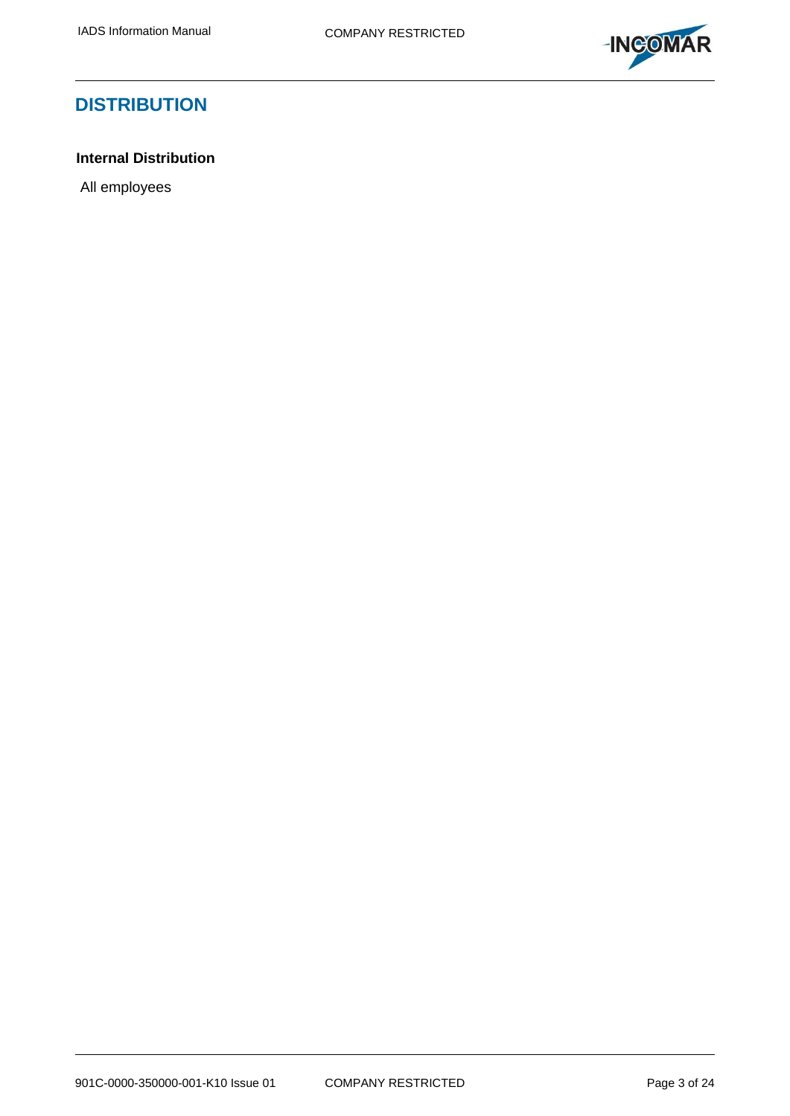

## **DISTRIBUTION**

## **Internal Distribution**

All employees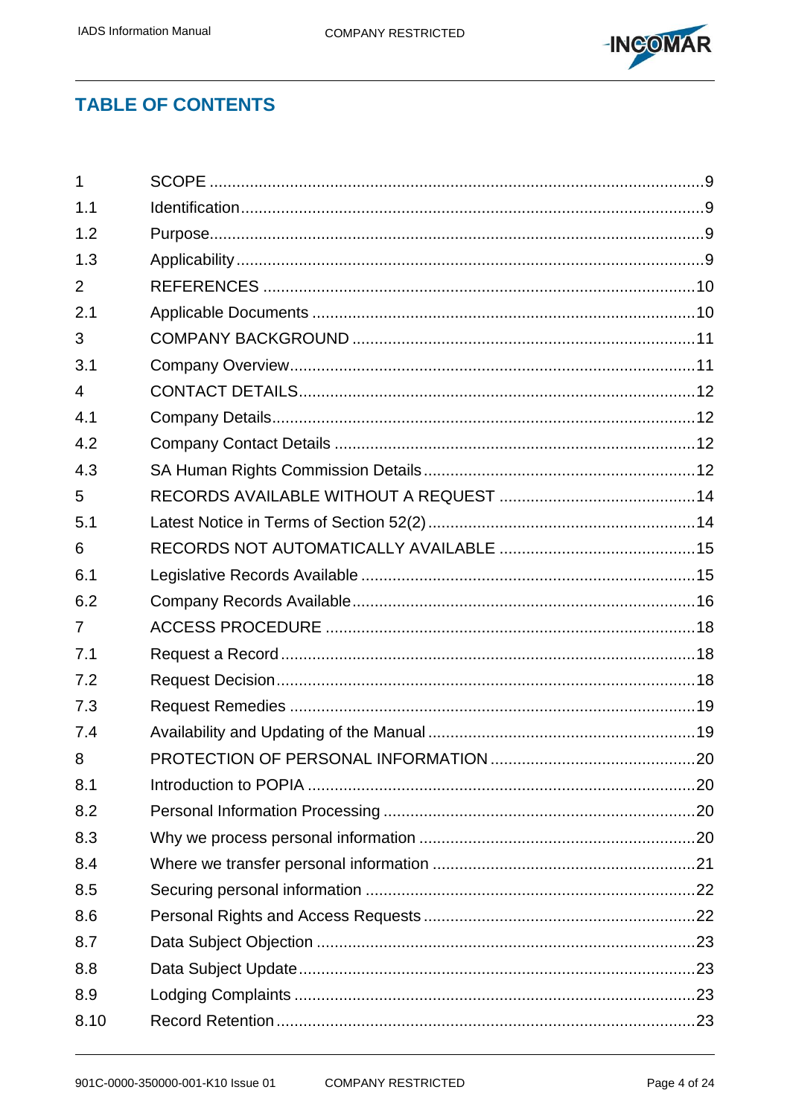

## **TABLE OF CONTENTS**

| $\mathbf{1}$   |  |
|----------------|--|
| 1.1            |  |
| 1.2            |  |
| 1.3            |  |
| 2              |  |
| 2.1            |  |
| 3              |  |
| 3.1            |  |
| $\overline{4}$ |  |
| 4.1            |  |
| 4.2            |  |
| 4.3            |  |
| 5              |  |
| 5.1            |  |
| 6              |  |
| 6.1            |  |
| 6.2            |  |
| $\overline{7}$ |  |
| 7.1            |  |
| 7.2            |  |
| 7.3            |  |
| 7.4            |  |
| 8              |  |
| 8.1            |  |
| 8.2            |  |
| 8.3            |  |
| 8.4            |  |
| 8.5            |  |
| 8.6            |  |
| 8.7            |  |
| 8.8            |  |
| 8.9            |  |
| 8.10           |  |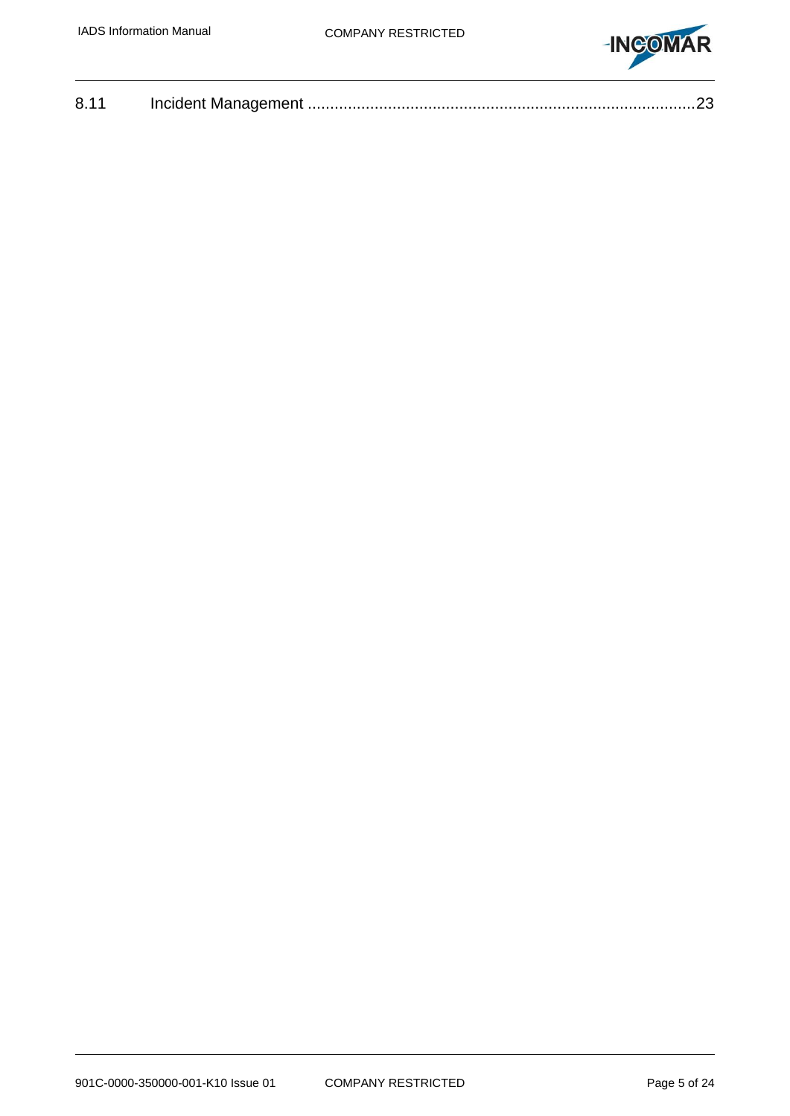

| 8.11 |  |  |
|------|--|--|
|------|--|--|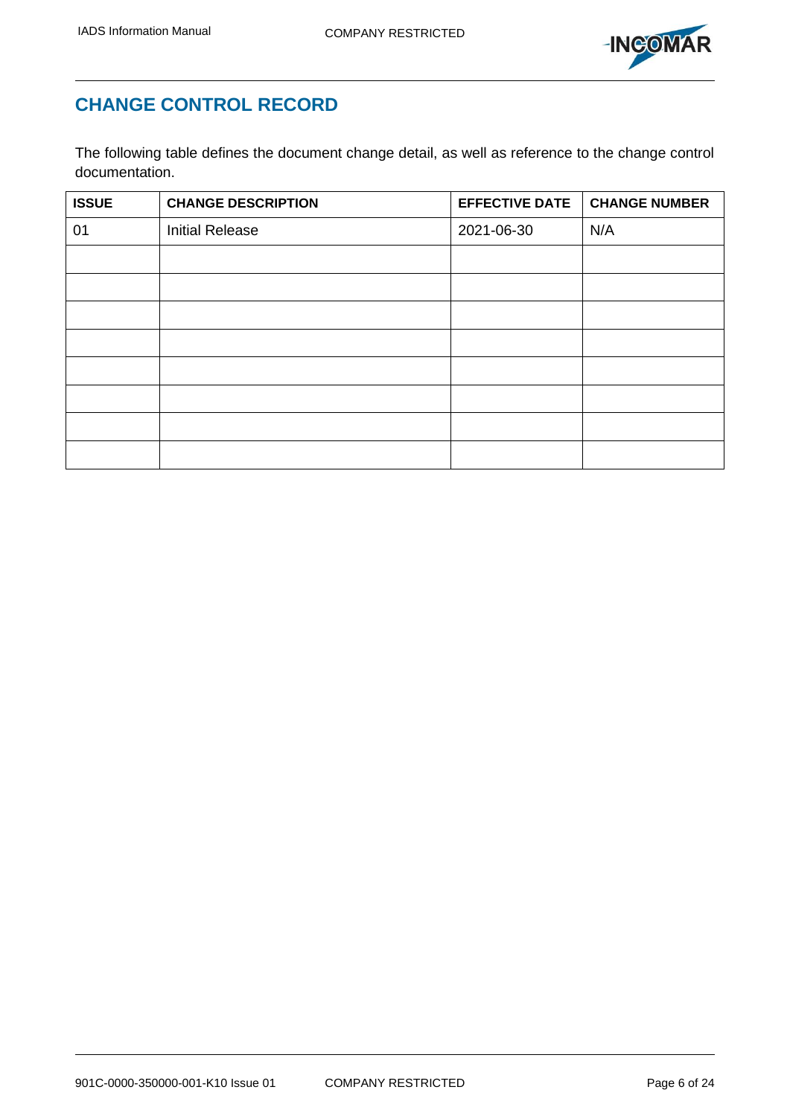

## **CHANGE CONTROL RECORD**

The following table defines the document change detail, as well as reference to the change control documentation.

| <b>ISSUE</b> | <b>CHANGE DESCRIPTION</b> | <b>EFFECTIVE DATE</b> | <b>CHANGE NUMBER</b> |
|--------------|---------------------------|-----------------------|----------------------|
| 01           | <b>Initial Release</b>    | 2021-06-30            | N/A                  |
|              |                           |                       |                      |
|              |                           |                       |                      |
|              |                           |                       |                      |
|              |                           |                       |                      |
|              |                           |                       |                      |
|              |                           |                       |                      |
|              |                           |                       |                      |
|              |                           |                       |                      |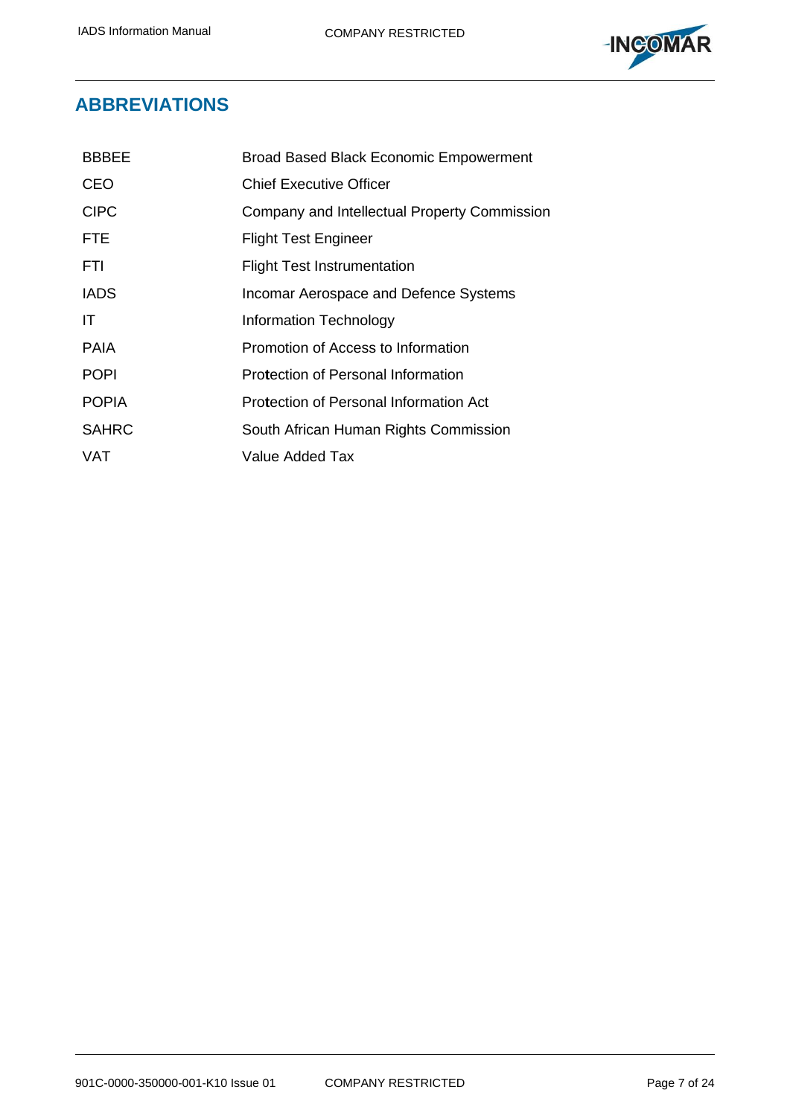

## **ABBREVIATIONS**

| <b>BBBEE</b> | <b>Broad Based Black Economic Empowerment</b> |
|--------------|-----------------------------------------------|
| CEO          | <b>Chief Executive Officer</b>                |
| <b>CIPC</b>  | Company and Intellectual Property Commission  |
| <b>FTE</b>   | <b>Flight Test Engineer</b>                   |
| FTI          | <b>Flight Test Instrumentation</b>            |
| <b>IADS</b>  | Incomar Aerospace and Defence Systems         |
| IT           | Information Technology                        |
| <b>PAIA</b>  | Promotion of Access to Information            |
| <b>POPI</b>  | Protection of Personal Information            |
| <b>POPIA</b> | Protection of Personal Information Act        |
| <b>SAHRC</b> | South African Human Rights Commission         |
| VAT          | Value Added Tax                               |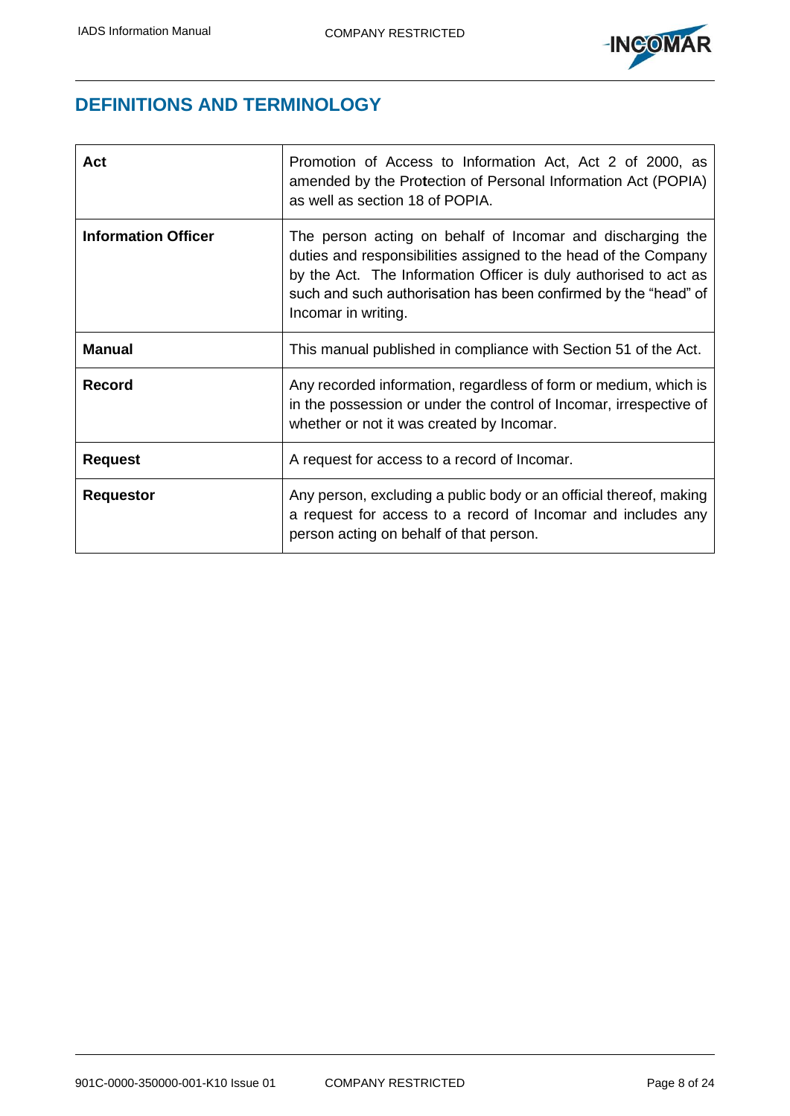

## **DEFINITIONS AND TERMINOLOGY**

| Act                        | Promotion of Access to Information Act, Act 2 of 2000, as<br>amended by the Protection of Personal Information Act (POPIA)<br>as well as section 18 of POPIA.                                                                                                                               |
|----------------------------|---------------------------------------------------------------------------------------------------------------------------------------------------------------------------------------------------------------------------------------------------------------------------------------------|
| <b>Information Officer</b> | The person acting on behalf of Incomar and discharging the<br>duties and responsibilities assigned to the head of the Company<br>by the Act. The Information Officer is duly authorised to act as<br>such and such authorisation has been confirmed by the "head" of<br>Incomar in writing. |
| <b>Manual</b>              | This manual published in compliance with Section 51 of the Act.                                                                                                                                                                                                                             |
| <b>Record</b>              | Any recorded information, regardless of form or medium, which is<br>in the possession or under the control of Incomar, irrespective of<br>whether or not it was created by Incomar.                                                                                                         |
| <b>Request</b>             | A request for access to a record of Incomar.                                                                                                                                                                                                                                                |
| <b>Requestor</b>           | Any person, excluding a public body or an official thereof, making<br>a request for access to a record of Incomar and includes any<br>person acting on behalf of that person.                                                                                                               |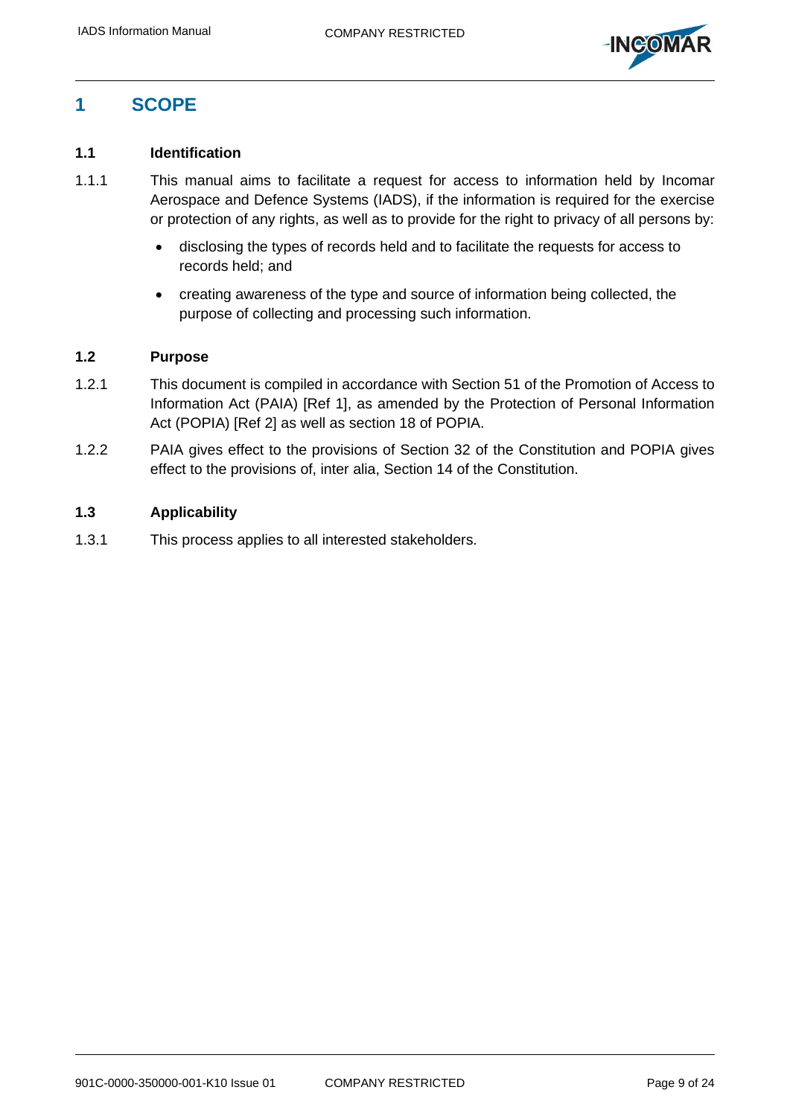

## <span id="page-8-0"></span>**1 SCOPE**

## <span id="page-8-1"></span>**1.1 Identification**

- 1.1.1 This manual aims to facilitate a request for access to information held by Incomar Aerospace and Defence Systems (IADS), if the information is required for the exercise or protection of any rights, as well as to provide for the right to privacy of all persons by:
	- disclosing the types of records held and to facilitate the requests for access to records held; and
	- creating awareness of the type and source of information being collected, the purpose of collecting and processing such information.

### <span id="page-8-2"></span>**1.2 Purpose**

- 1.2.1 This document is compiled in accordance with Section 51 of the Promotion of Access to Information Act (PAIA) [\[Ref 1\],](#page-9-2) as amended by the Protection of Personal Information Act (POPIA) [\[Ref 2\]](#page-9-3) as well as section 18 of POPIA.
- 1.2.2 PAIA gives effect to the provisions of Section 32 of the Constitution and POPIA gives effect to the provisions of, inter alia, Section 14 of the Constitution.

## <span id="page-8-3"></span>**1.3 Applicability**

1.3.1 This process applies to all interested stakeholders.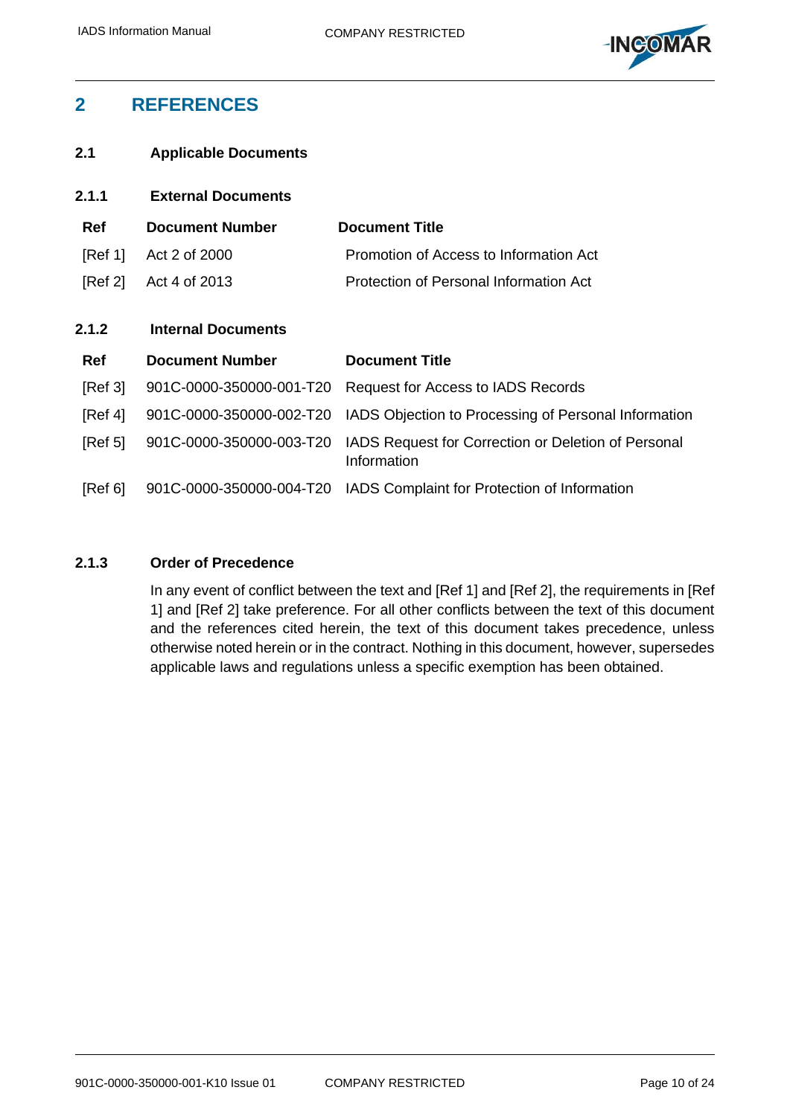

## <span id="page-9-0"></span>**2 REFERENCES**

<span id="page-9-1"></span>**2.1 Applicable Documents**

<span id="page-9-3"></span><span id="page-9-2"></span>

| 2.1.1      | <b>External Documents</b> |                                                                    |
|------------|---------------------------|--------------------------------------------------------------------|
| <b>Ref</b> | <b>Document Number</b>    | <b>Document Title</b>                                              |
| [Ref 1]    | Act 2 of 2000             | Promotion of Access to Information Act                             |
| [Ref 2]    | Act 4 of 2013             | Protection of Personal Information Act                             |
|            |                           |                                                                    |
| 2.1.2      | <b>Internal Documents</b> |                                                                    |
| <b>Ref</b> | <b>Document Number</b>    | <b>Document Title</b>                                              |
| [Ref 3]    | 901C-0000-350000-001-T20  | <b>Request for Access to IADS Records</b>                          |
| [Ref 4]    | 901C-0000-350000-002-T20  | IADS Objection to Processing of Personal Information               |
| [Ref 5]    | 901C-0000-350000-003-T20  | IADS Request for Correction or Deletion of Personal<br>Information |
| [Ref 6]    | 901C-0000-350000-004-T20  | IADS Complaint for Protection of Information                       |

## <span id="page-9-7"></span><span id="page-9-6"></span><span id="page-9-5"></span><span id="page-9-4"></span>**2.1.3 Order of Precedence**

In any event of conflict between the text and [\[Ref 1\]](#page-9-2) and [\[Ref 2\],](#page-9-3) the requirements in [\[Ref](#page-9-2)  [1\]](#page-9-2) and [\[Ref 2\]](#page-9-3) take preference. For all other conflicts between the text of this document and the references cited herein, the text of this document takes precedence, unless otherwise noted herein or in the contract. Nothing in this document, however, supersedes applicable laws and regulations unless a specific exemption has been obtained.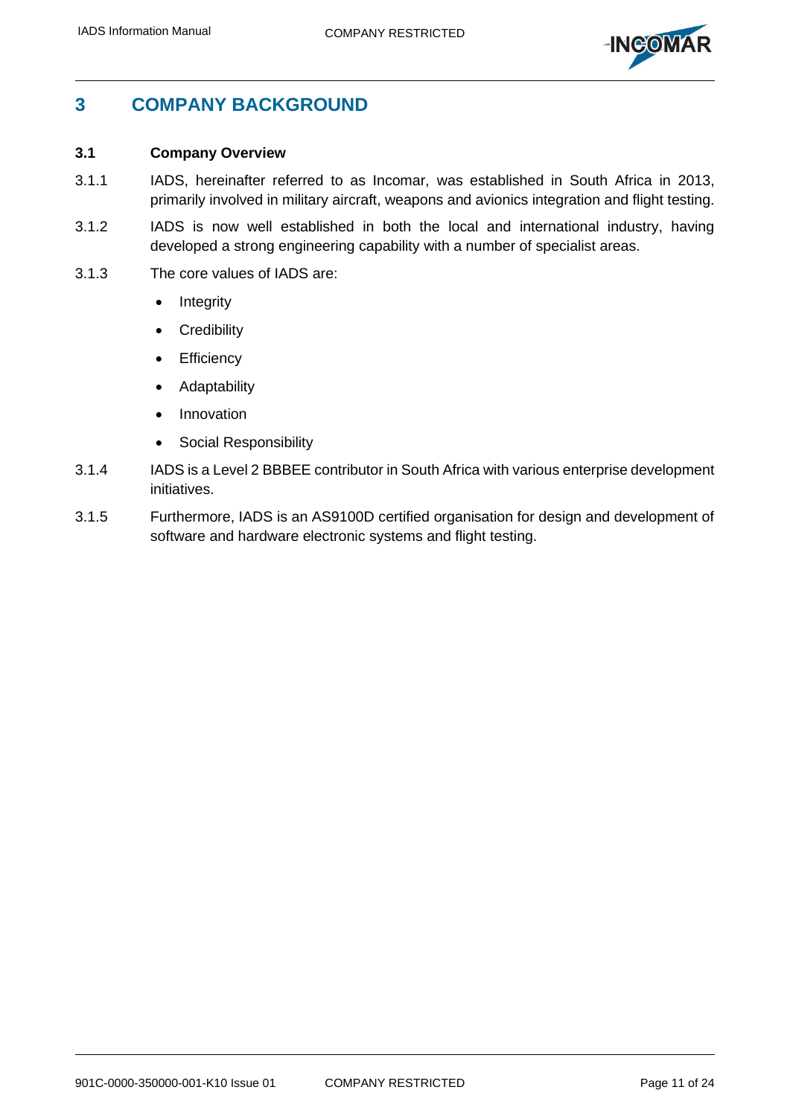

## <span id="page-10-0"></span>**3 COMPANY BACKGROUND**

#### <span id="page-10-1"></span>**3.1 Company Overview**

- 3.1.1 IADS, hereinafter referred to as Incomar, was established in South Africa in 2013, primarily involved in military aircraft, weapons and avionics integration and flight testing.
- 3.1.2 IADS is now well established in both the local and international industry, having developed a strong engineering capability with a number of specialist areas.
- 3.1.3 The core values of IADS are:
	- **Integrity**
	- Credibility
	- Efficiency
	- **Adaptability**
	- Innovation
	- Social Responsibility
- 3.1.4 IADS is a Level 2 BBBEE contributor in South Africa with various enterprise development initiatives.
- 3.1.5 Furthermore, IADS is an AS9100D certified organisation for design and development of software and hardware electronic systems and flight testing.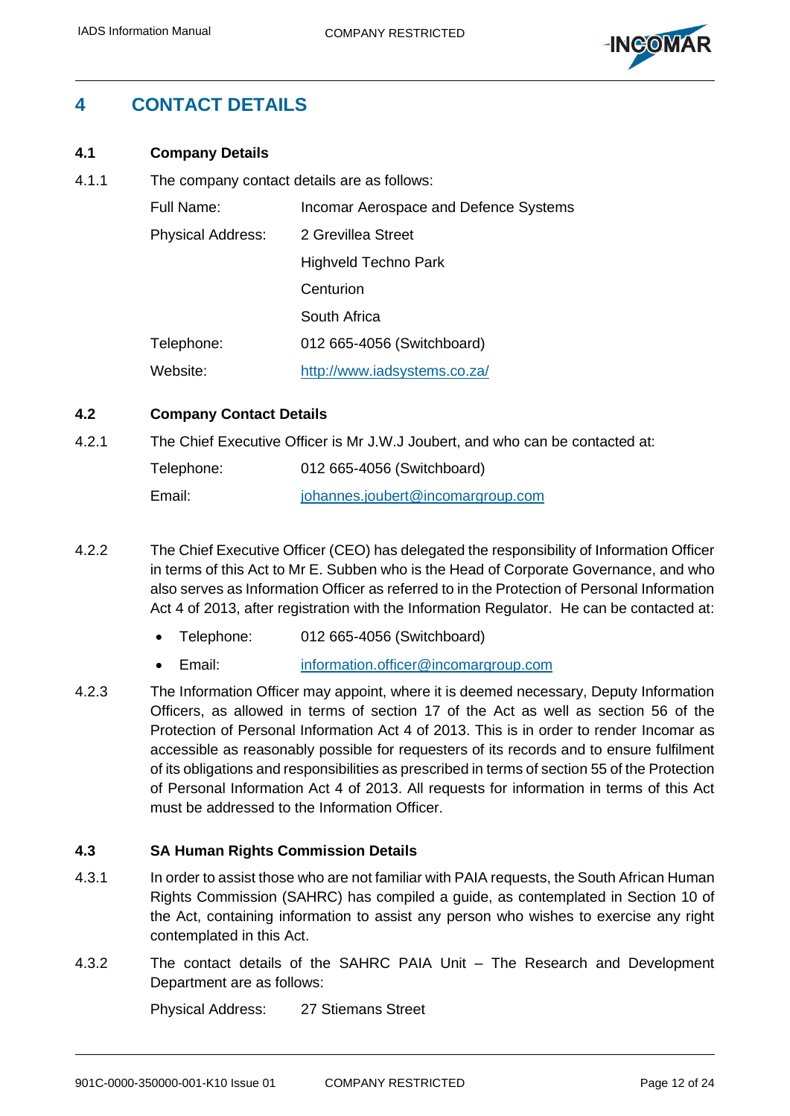

## <span id="page-11-0"></span>**4 CONTACT DETAILS**

## <span id="page-11-1"></span>**4.1 Company Details**

4.1.1 The company contact details are as follows:

| Full Name:                                     | Incomar Aerospace and Defence Systems |
|------------------------------------------------|---------------------------------------|
| <b>Physical Address:</b><br>2 Grevillea Street |                                       |
|                                                | Highveld Techno Park                  |
|                                                | Centurion                             |
|                                                | South Africa                          |
| Telephone:                                     | 012 665-4056 (Switchboard)            |
| Website:                                       | http://www.iadsystems.co.za/          |

## <span id="page-11-2"></span>**4.2 Company Contact Details**

4.2.1 The Chief Executive Officer is Mr J.W.J Joubert, and who can be contacted at:

| Telephone: | 012 665-4056 (Switchboard)        |
|------------|-----------------------------------|
| Email:     | johannes.joubert@incomargroup.com |

- 4.2.2 The Chief Executive Officer (CEO) has delegated the responsibility of Information Officer in terms of this Act to Mr E. Subben who is the Head of Corporate Governance, and who also serves as Information Officer as referred to in the Protection of Personal Information Act 4 of 2013, after registration with the Information Regulator. He can be contacted at:
	- Telephone: 012 665-4056 (Switchboard)
	- Email: [information.officer@incomargroup.com](mailto:information.officer@incomargroup.com)
- 4.2.3 The Information Officer may appoint, where it is deemed necessary, Deputy Information Officers, as allowed in terms of section 17 of the Act as well as section 56 of the Protection of Personal Information Act 4 of 2013. This is in order to render Incomar as accessible as reasonably possible for requesters of its records and to ensure fulfilment of its obligations and responsibilities as prescribed in terms of section 55 of the Protection of Personal Information Act 4 of 2013. All requests for information in terms of this Act must be addressed to the Information Officer.

## <span id="page-11-3"></span>**4.3 SA Human Rights Commission Details**

- 4.3.1 In order to assist those who are not familiar with PAIA requests, the South African Human Rights Commission (SAHRC) has compiled a guide, as contemplated in Section 10 of the Act, containing information to assist any person who wishes to exercise any right contemplated in this Act.
- 4.3.2 The contact details of the SAHRC PAIA Unit The Research and Development Department are as follows:

Physical Address: 27 Stiemans Street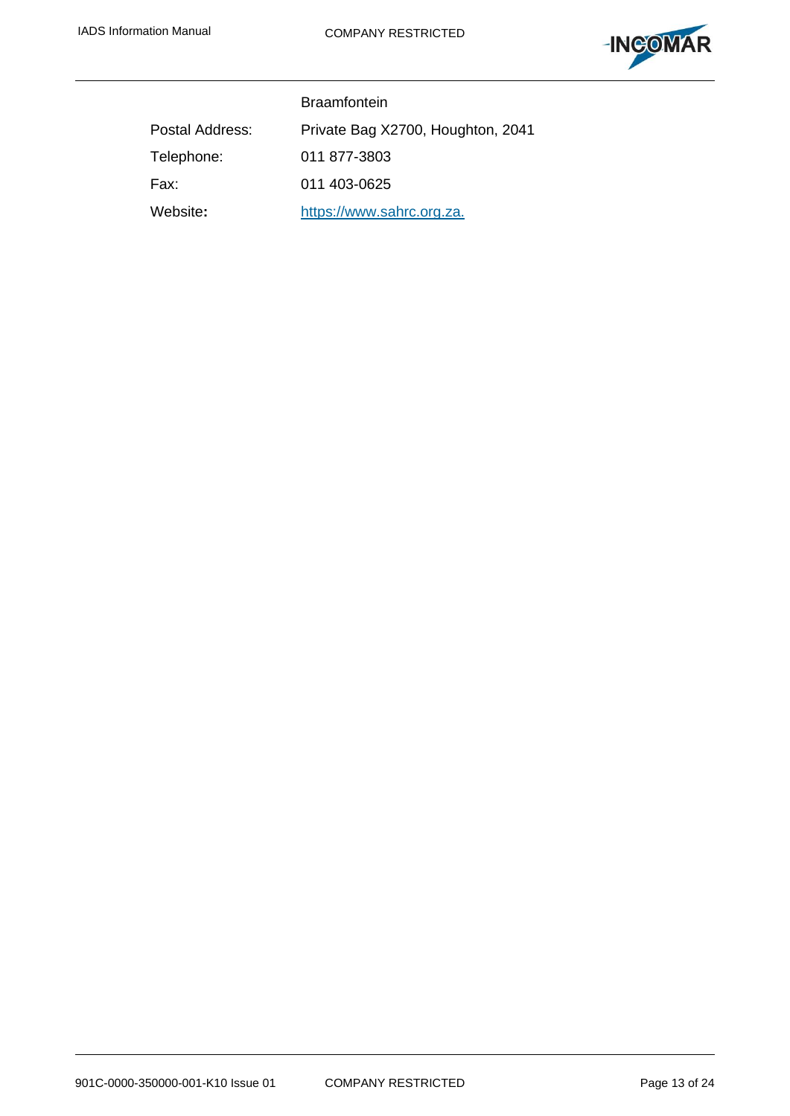

|                 | <b>Braamfontein</b>               |
|-----------------|-----------------------------------|
| Postal Address: | Private Bag X2700, Houghton, 2041 |
| Telephone:      | 011 877-3803                      |
| Fax:            | 011 403-0625                      |
| Website:        | https://www.sahrc.org.za.         |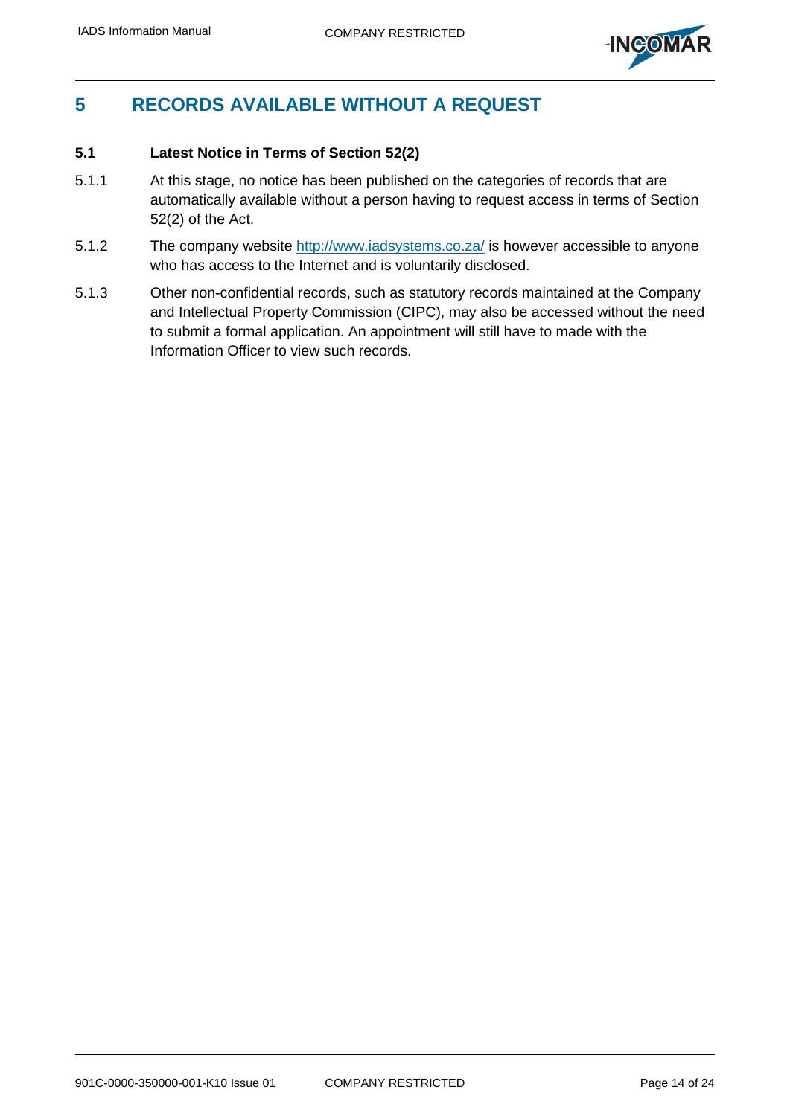

## <span id="page-13-0"></span>**5 RECORDS AVAILABLE WITHOUT A REQUEST**

## <span id="page-13-1"></span>**5.1 Latest Notice in Terms of Section 52(2)**

- 5.1.1 At this stage, no notice has been published on the categories of records that are automatically available without a person having to request access in terms of Section 52(2) of the Act.
- 5.1.2 The company website <http://www.iadsystems.co.za/> is however accessible to anyone who has access to the Internet and is voluntarily disclosed.
- 5.1.3 Other non-confidential records, such as statutory records maintained at the Company and Intellectual Property Commission (CIPC), may also be accessed without the need to submit a formal application. An appointment will still have to made with the Information Officer to view such records.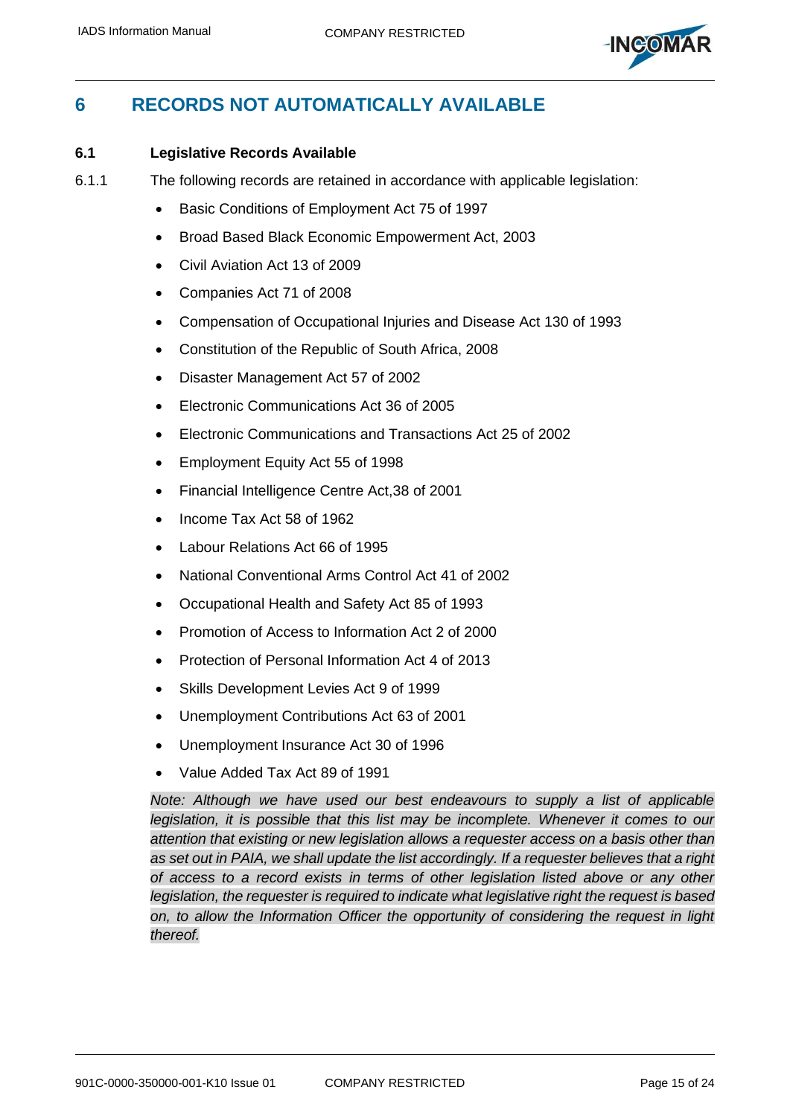

## <span id="page-14-0"></span>**6 RECORDS NOT AUTOMATICALLY AVAILABLE**

## <span id="page-14-1"></span>**6.1 Legislative Records Available**

- 6.1.1 The following records are retained in accordance with applicable legislation:
	- Basic Conditions of Employment Act 75 of 1997
	- Broad Based Black Economic Empowerment Act, 2003
	- Civil Aviation Act 13 of 2009
	- Companies Act 71 of 2008
	- Compensation of Occupational Injuries and Disease Act 130 of 1993
	- Constitution of the Republic of South Africa, 2008
	- Disaster Management Act 57 of 2002
	- Electronic Communications Act 36 of 2005
	- Electronic Communications and Transactions Act 25 of 2002
	- Employment Equity Act 55 of 1998
	- Financial Intelligence Centre Act,38 of 2001
	- Income Tax Act 58 of 1962
	- Labour Relations Act 66 of 1995
	- National Conventional Arms Control Act 41 of 2002
	- Occupational Health and Safety Act 85 of 1993
	- Promotion of Access to Information Act 2 of 2000
	- Protection of Personal Information Act 4 of 2013
	- Skills Development Levies Act 9 of 1999
	- Unemployment Contributions Act 63 of 2001
	- Unemployment Insurance Act 30 of 1996
	- Value Added Tax Act 89 of 1991

*Note: Although we have used our best endeavours to supply a list of applicable legislation, it is possible that this list may be incomplete. Whenever it comes to our attention that existing or new legislation allows a requester access on a basis other than as set out in PAIA, we shall update the list accordingly. If a requester believes that a right of access to a record exists in terms of other legislation listed above or any other legislation, the requester is required to indicate what legislative right the request is based on, to allow the Information Officer the opportunity of considering the request in light thereof.*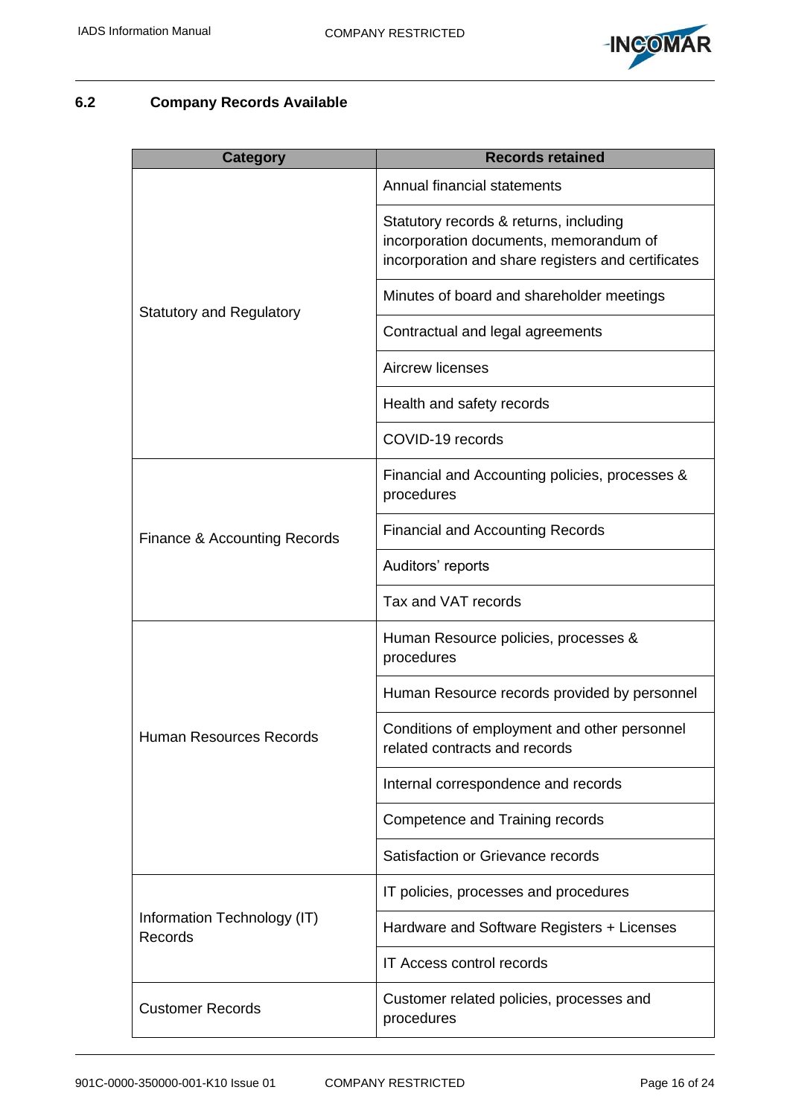

## <span id="page-15-0"></span>**6.2 Company Records Available**

| <b>Category</b>                        | <b>Records retained</b>                                                                                                                |
|----------------------------------------|----------------------------------------------------------------------------------------------------------------------------------------|
|                                        | Annual financial statements                                                                                                            |
|                                        | Statutory records & returns, including<br>incorporation documents, memorandum of<br>incorporation and share registers and certificates |
| <b>Statutory and Regulatory</b>        | Minutes of board and shareholder meetings                                                                                              |
|                                        | Contractual and legal agreements                                                                                                       |
|                                        | Aircrew licenses                                                                                                                       |
|                                        | Health and safety records                                                                                                              |
|                                        | COVID-19 records                                                                                                                       |
|                                        | Financial and Accounting policies, processes &<br>procedures                                                                           |
| Finance & Accounting Records           | <b>Financial and Accounting Records</b>                                                                                                |
|                                        | Auditors' reports                                                                                                                      |
|                                        | Tax and VAT records                                                                                                                    |
|                                        | Human Resource policies, processes &<br>procedures                                                                                     |
|                                        | Human Resource records provided by personnel                                                                                           |
| Human Resources Records                | Conditions of employment and other personnel<br>related contracts and records                                                          |
|                                        | Internal correspondence and records                                                                                                    |
|                                        | Competence and Training records                                                                                                        |
|                                        | Satisfaction or Grievance records                                                                                                      |
|                                        | IT policies, processes and procedures                                                                                                  |
| Information Technology (IT)<br>Records | Hardware and Software Registers + Licenses                                                                                             |
|                                        | <b>IT Access control records</b>                                                                                                       |
| <b>Customer Records</b>                | Customer related policies, processes and<br>procedures                                                                                 |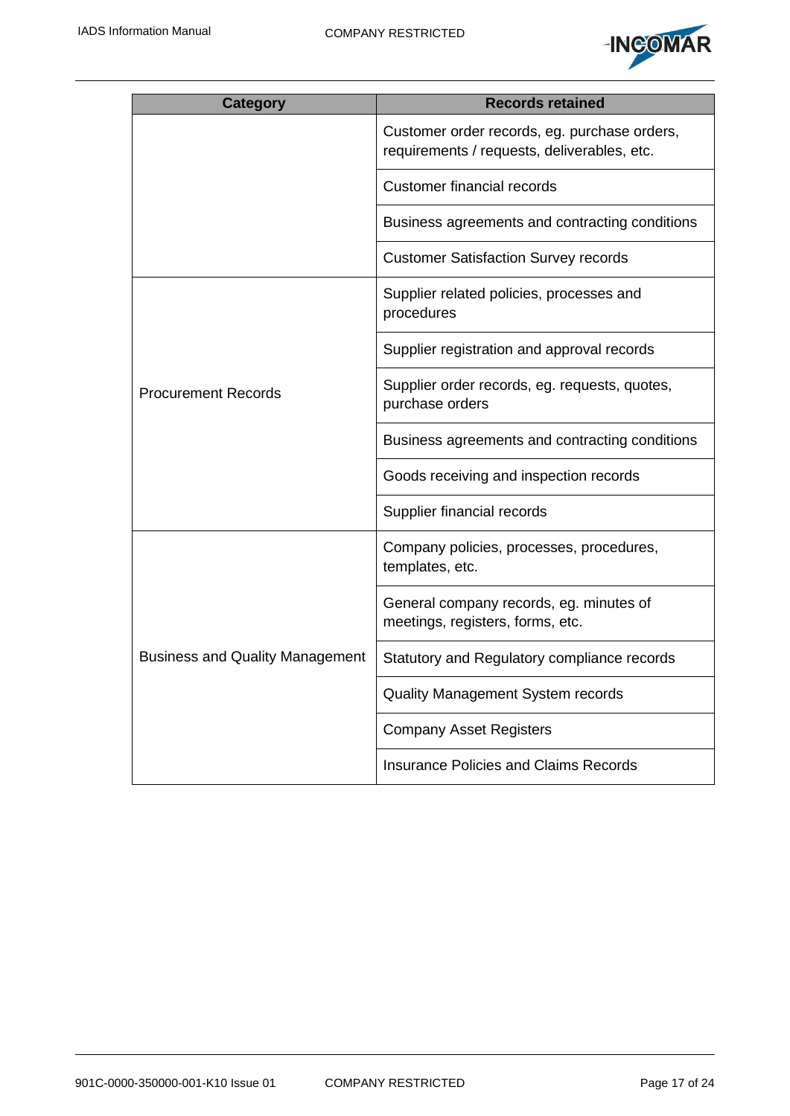

| <b>Category</b>                        | <b>Records retained</b>                                                                     |
|----------------------------------------|---------------------------------------------------------------------------------------------|
|                                        | Customer order records, eg. purchase orders,<br>requirements / requests, deliverables, etc. |
|                                        | <b>Customer financial records</b>                                                           |
|                                        | Business agreements and contracting conditions                                              |
|                                        | <b>Customer Satisfaction Survey records</b>                                                 |
| <b>Procurement Records</b>             | Supplier related policies, processes and<br>procedures                                      |
|                                        | Supplier registration and approval records                                                  |
|                                        | Supplier order records, eg. requests, quotes,<br>purchase orders                            |
|                                        | Business agreements and contracting conditions                                              |
|                                        | Goods receiving and inspection records                                                      |
|                                        | Supplier financial records                                                                  |
| <b>Business and Quality Management</b> | Company policies, processes, procedures,<br>templates, etc.                                 |
|                                        | General company records, eg. minutes of<br>meetings, registers, forms, etc.                 |
|                                        | Statutory and Regulatory compliance records                                                 |
|                                        | Quality Management System records                                                           |
|                                        | <b>Company Asset Registers</b>                                                              |
|                                        | <b>Insurance Policies and Claims Records</b>                                                |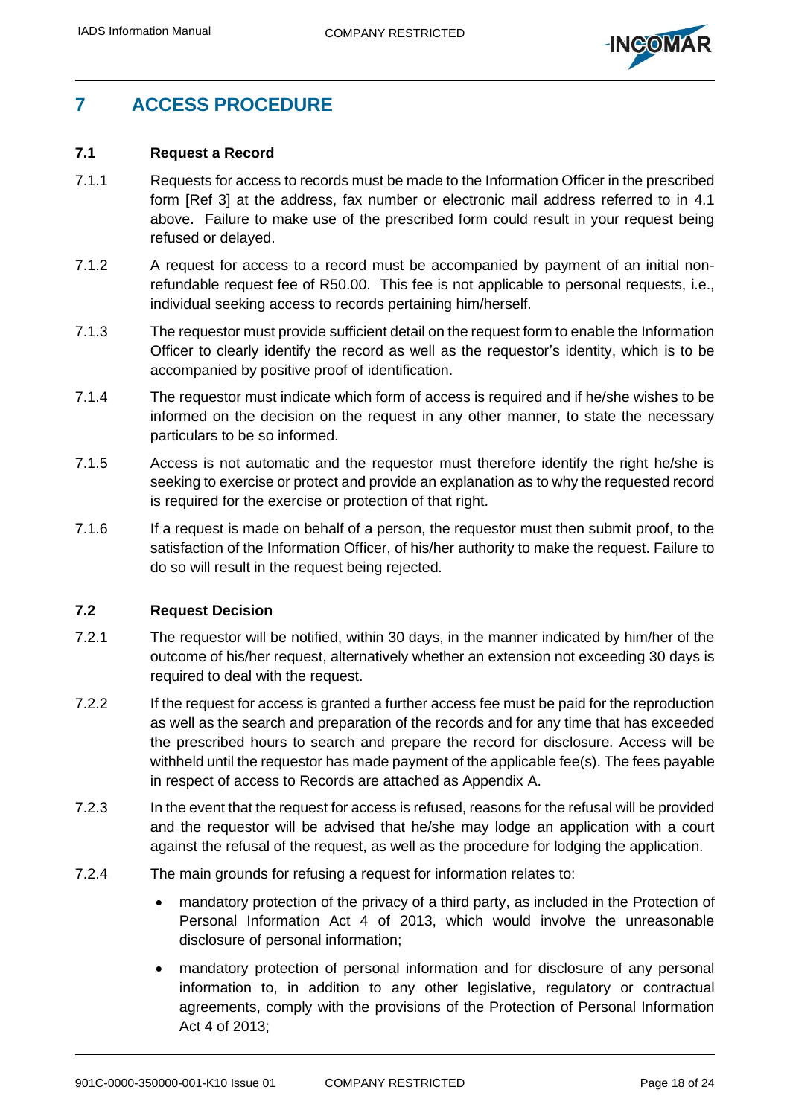

## <span id="page-17-0"></span>**7 ACCESS PROCEDURE**

### <span id="page-17-1"></span>**7.1 Request a Record**

- 7.1.1 Requests for access to records must be made to the Information Officer in the prescribed form [\[Ref 3\]](#page-9-4) at the address, fax number or electronic mail address referred to in [4.1](#page-11-1) above. Failure to make use of the prescribed form could result in your request being refused or delayed.
- 7.1.2 A request for access to a record must be accompanied by payment of an initial nonrefundable request fee of R50.00. This fee is not applicable to personal requests, i.e., individual seeking access to records pertaining him/herself.
- 7.1.3 The requestor must provide sufficient detail on the request form to enable the Information Officer to clearly identify the record as well as the requestor's identity, which is to be accompanied by positive proof of identification.
- 7.1.4 The requestor must indicate which form of access is required and if he/she wishes to be informed on the decision on the request in any other manner, to state the necessary particulars to be so informed.
- 7.1.5 Access is not automatic and the requestor must therefore identify the right he/she is seeking to exercise or protect and provide an explanation as to why the requested record is required for the exercise or protection of that right.
- 7.1.6 If a request is made on behalf of a person, the requestor must then submit proof, to the satisfaction of the Information Officer, of his/her authority to make the request. Failure to do so will result in the request being rejected.

### <span id="page-17-2"></span>**7.2 Request Decision**

- 7.2.1 The requestor will be notified, within 30 days, in the manner indicated by him/her of the outcome of his/her request, alternatively whether an extension not exceeding 30 days is required to deal with the request.
- 7.2.2 If the request for access is granted a further access fee must be paid for the reproduction as well as the search and preparation of the records and for any time that has exceeded the prescribed hours to search and prepare the record for disclosure. Access will be withheld until the requestor has made payment of the applicable fee(s). The fees payable in respect of access to Records are attached as Appendix A.
- 7.2.3 In the event that the request for access is refused, reasons for the refusal will be provided and the requestor will be advised that he/she may lodge an application with a court against the refusal of the request, as well as the procedure for lodging the application.
- 7.2.4 The main grounds for refusing a request for information relates to:
	- mandatory protection of the privacy of a third party, as included in the Protection of Personal Information Act 4 of 2013, which would involve the unreasonable disclosure of personal information;
	- mandatory protection of personal information and for disclosure of any personal information to, in addition to any other legislative, regulatory or contractual agreements, comply with the provisions of the Protection of Personal Information Act 4 of 2013;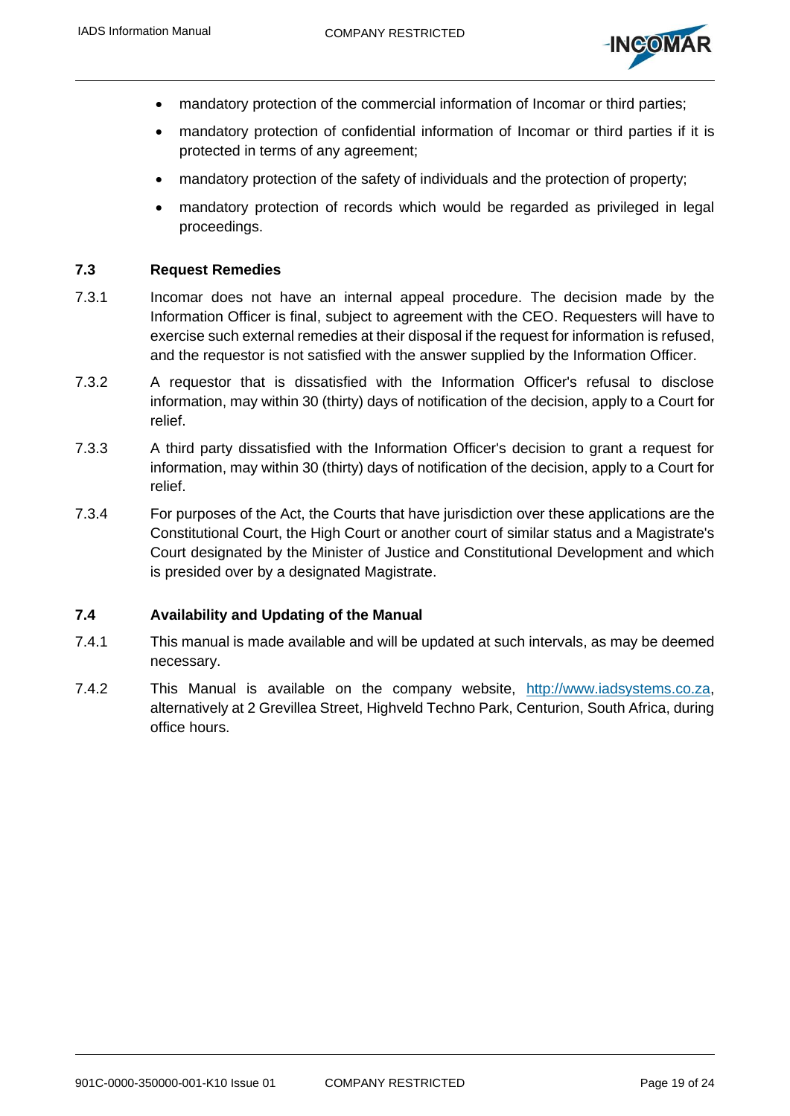

- mandatory protection of the commercial information of Incomar or third parties;
- mandatory protection of confidential information of Incomar or third parties if it is protected in terms of any agreement;
- mandatory protection of the safety of individuals and the protection of property;
- mandatory protection of records which would be regarded as privileged in legal proceedings.

### <span id="page-18-0"></span>**7.3 Request Remedies**

- 7.3.1 Incomar does not have an internal appeal procedure. The decision made by the Information Officer is final, subject to agreement with the CEO. Requesters will have to exercise such external remedies at their disposal if the request for information is refused, and the requestor is not satisfied with the answer supplied by the Information Officer.
- 7.3.2 A requestor that is dissatisfied with the Information Officer's refusal to disclose information, may within 30 (thirty) days of notification of the decision, apply to a Court for relief.
- 7.3.3 A third party dissatisfied with the Information Officer's decision to grant a request for information, may within 30 (thirty) days of notification of the decision, apply to a Court for relief.
- 7.3.4 For purposes of the Act, the Courts that have jurisdiction over these applications are the Constitutional Court, the High Court or another court of similar status and a Magistrate's Court designated by the Minister of Justice and Constitutional Development and which is presided over by a designated Magistrate.

### <span id="page-18-1"></span>**7.4 Availability and Updating of the Manual**

- 7.4.1 This manual is made available and will be updated at such intervals, as may be deemed necessary.
- 7.4.2 This Manual is available on the company website, [http://www.iadsystems.co.za,](http://www.iadsystems.co.za/) alternatively at 2 Grevillea Street, Highveld Techno Park, Centurion, South Africa, during office hours.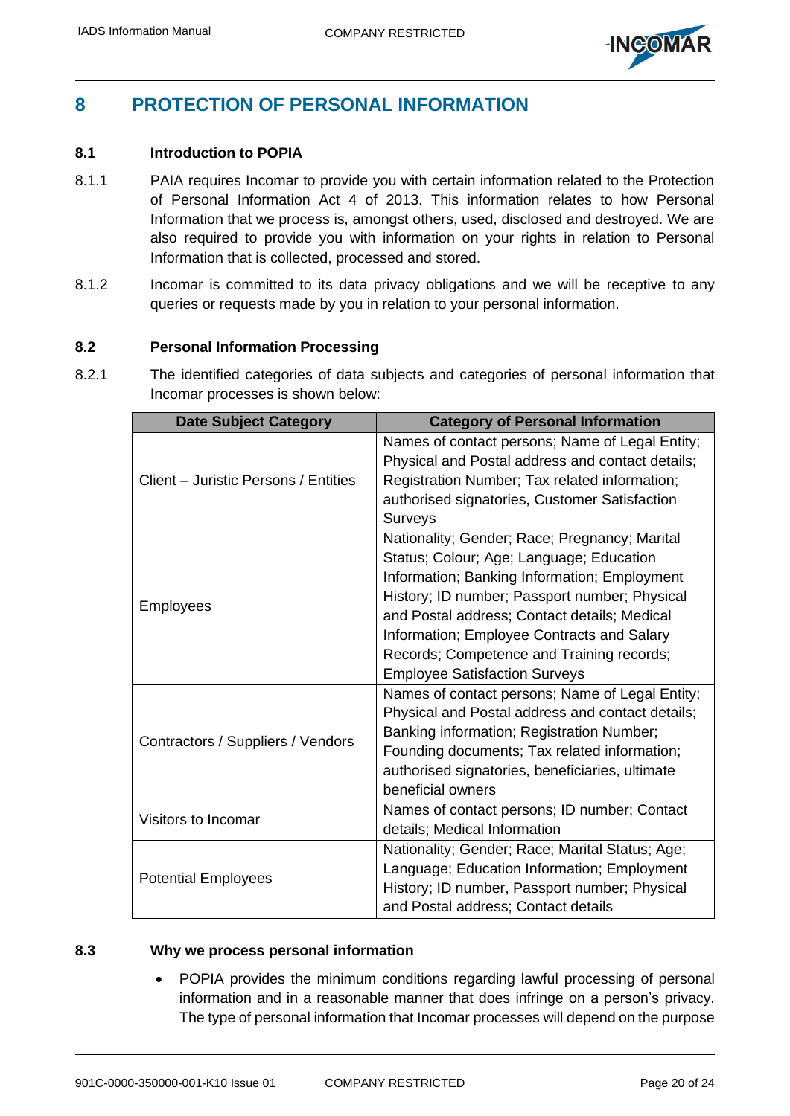

## <span id="page-19-0"></span>**8 PROTECTION OF PERSONAL INFORMATION**

## <span id="page-19-1"></span>**8.1 Introduction to POPIA**

- 8.1.1 PAIA requires Incomar to provide you with certain information related to the Protection of Personal Information Act 4 of 2013. This information relates to how Personal Information that we process is, amongst others, used, disclosed and destroyed. We are also required to provide you with information on your rights in relation to Personal Information that is collected, processed and stored.
- 8.1.2 Incomar is committed to its data privacy obligations and we will be receptive to any queries or requests made by you in relation to your personal information.

### <span id="page-19-2"></span>**8.2 Personal Information Processing**

8.2.1 The identified categories of data subjects and categories of personal information that Incomar processes is shown below:

| <b>Date Subject Category</b>         | <b>Category of Personal Information</b>          |
|--------------------------------------|--------------------------------------------------|
| Client – Juristic Persons / Entities | Names of contact persons; Name of Legal Entity;  |
|                                      | Physical and Postal address and contact details; |
|                                      | Registration Number; Tax related information;    |
|                                      | authorised signatories, Customer Satisfaction    |
|                                      | <b>Surveys</b>                                   |
| <b>Employees</b>                     | Nationality; Gender; Race; Pregnancy; Marital    |
|                                      | Status; Colour; Age; Language; Education         |
|                                      | Information; Banking Information; Employment     |
|                                      | History; ID number; Passport number; Physical    |
|                                      | and Postal address; Contact details; Medical     |
|                                      | Information; Employee Contracts and Salary       |
|                                      | Records; Competence and Training records;        |
|                                      | <b>Employee Satisfaction Surveys</b>             |
|                                      | Names of contact persons; Name of Legal Entity;  |
|                                      | Physical and Postal address and contact details; |
| Contractors / Suppliers / Vendors    | Banking information; Registration Number;        |
|                                      | Founding documents; Tax related information;     |
|                                      | authorised signatories, beneficiaries, ultimate  |
|                                      | beneficial owners                                |
| Visitors to Incomar                  | Names of contact persons; ID number; Contact     |
|                                      | details; Medical Information                     |
| <b>Potential Employees</b>           | Nationality; Gender; Race; Marital Status; Age;  |
|                                      | Language; Education Information; Employment      |
|                                      | History; ID number, Passport number; Physical    |
|                                      | and Postal address; Contact details              |

### <span id="page-19-3"></span>**8.3 Why we process personal information**

• POPIA provides the minimum conditions regarding lawful processing of personal information and in a reasonable manner that does infringe on a person's privacy. The type of personal information that Incomar processes will depend on the purpose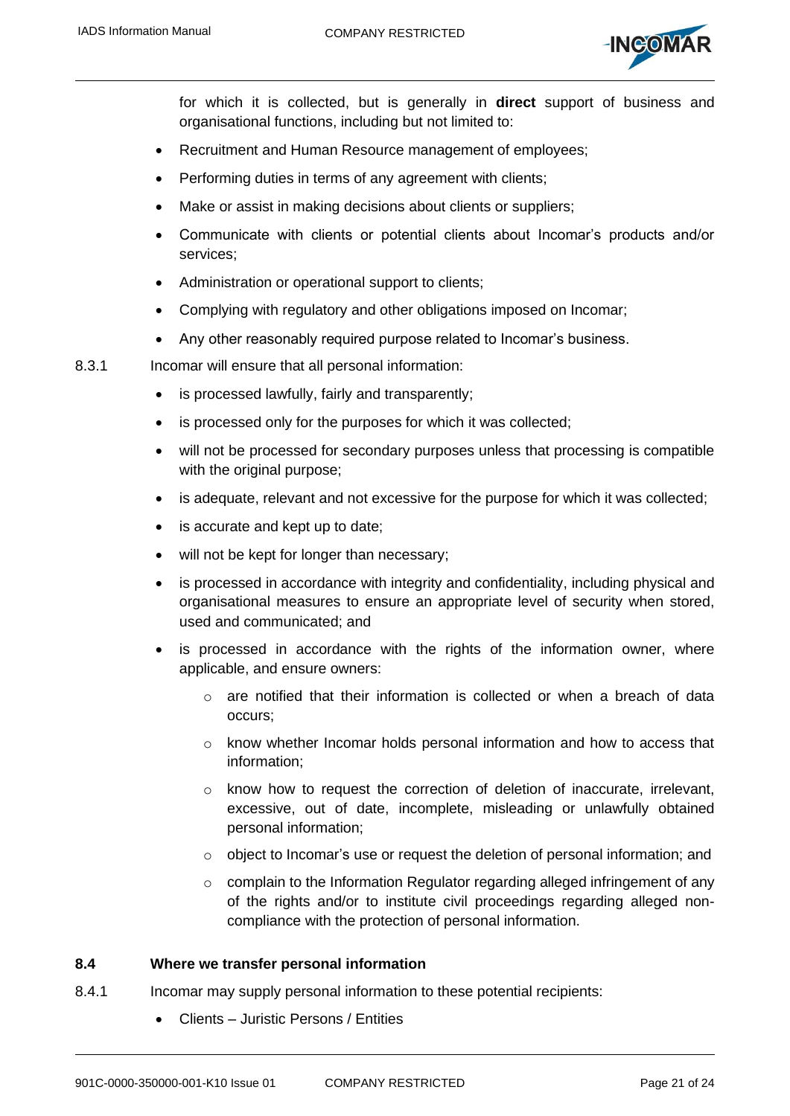

for which it is collected, but is generally in **direct** support of business and organisational functions, including but not limited to:

- Recruitment and Human Resource management of employees;
- Performing duties in terms of any agreement with clients;
- Make or assist in making decisions about clients or suppliers;
- Communicate with clients or potential clients about Incomar's products and/or services;
- Administration or operational support to clients;
- Complying with regulatory and other obligations imposed on Incomar;
- Any other reasonably required purpose related to Incomar's business.

8.3.1 Incomar will ensure that all personal information:

- is processed lawfully, fairly and transparently;
- is processed only for the purposes for which it was collected;
- will not be processed for secondary purposes unless that processing is compatible with the original purpose;
- is adequate, relevant and not excessive for the purpose for which it was collected;
- is accurate and kept up to date;
- will not be kept for longer than necessary;
- is processed in accordance with integrity and confidentiality, including physical and organisational measures to ensure an appropriate level of security when stored, used and communicated; and
- is processed in accordance with the rights of the information owner, where applicable, and ensure owners:
	- $\circ$  are notified that their information is collected or when a breach of data occurs;
	- o know whether Incomar holds personal information and how to access that information;
	- $\circ$  know how to request the correction of deletion of inaccurate, irrelevant, excessive, out of date, incomplete, misleading or unlawfully obtained personal information;
	- o object to Incomar's use or request the deletion of personal information; and
	- o complain to the Information Regulator regarding alleged infringement of any of the rights and/or to institute civil proceedings regarding alleged noncompliance with the protection of personal information.

### <span id="page-20-0"></span>**8.4 Where we transfer personal information**

- 8.4.1 Incomar may supply personal information to these potential recipients:
	- Clients Juristic Persons / Entities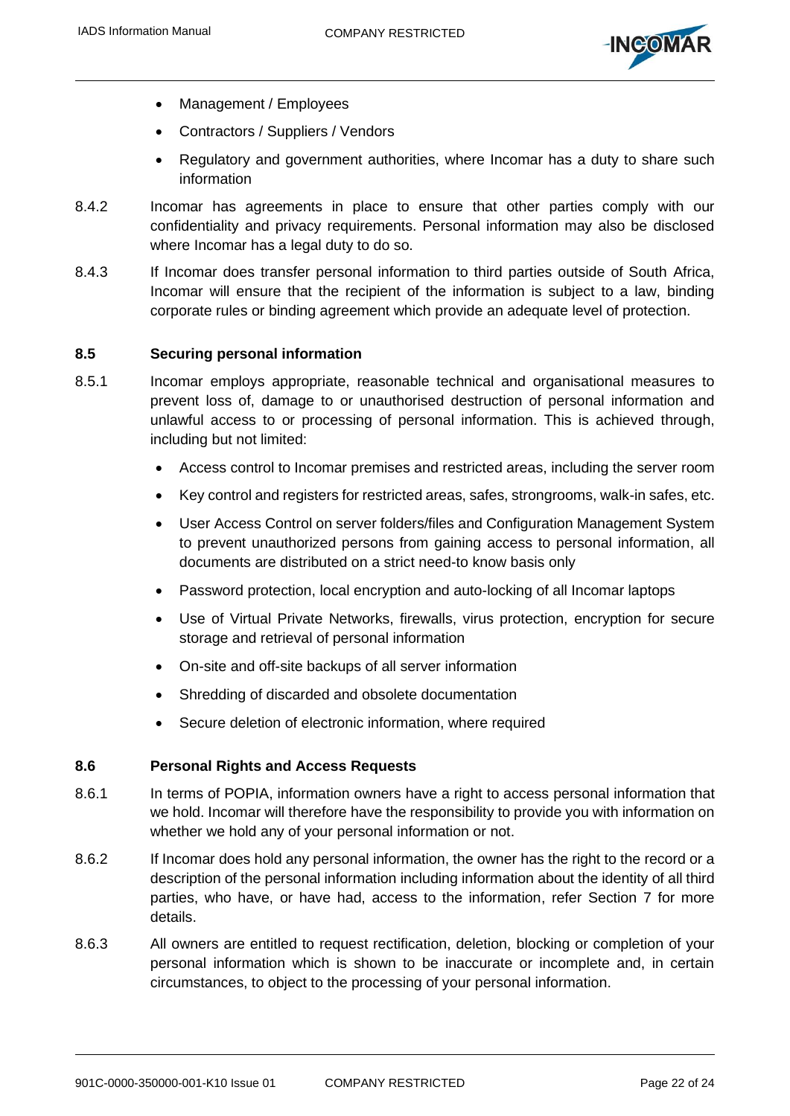

- Management / Employees
- Contractors / Suppliers / Vendors
- Regulatory and government authorities, where Incomar has a duty to share such information
- 8.4.2 Incomar has agreements in place to ensure that other parties comply with our confidentiality and privacy requirements. Personal information may also be disclosed where Incomar has a legal duty to do so.
- 8.4.3 If Incomar does transfer personal information to third parties outside of South Africa, Incomar will ensure that the recipient of the information is subject to a law, binding corporate rules or binding agreement which provide an adequate level of protection.

### <span id="page-21-0"></span>**8.5 Securing personal information**

- 8.5.1 Incomar employs appropriate, reasonable technical and organisational measures to prevent loss of, damage to or unauthorised destruction of personal information and unlawful access to or processing of personal information. This is achieved through, including but not limited:
	- Access control to Incomar premises and restricted areas, including the server room
	- Key control and registers for restricted areas, safes, strongrooms, walk-in safes, etc.
	- User Access Control on server folders/files and Configuration Management System to prevent unauthorized persons from gaining access to personal information, all documents are distributed on a strict need-to know basis only
	- Password protection, local encryption and auto-locking of all Incomar laptops
	- Use of Virtual Private Networks, firewalls, virus protection, encryption for secure storage and retrieval of personal information
	- On-site and off-site backups of all server information
	- Shredding of discarded and obsolete documentation
	- Secure deletion of electronic information, where required

### <span id="page-21-1"></span>**8.6 Personal Rights and Access Requests**

- 8.6.1 In terms of POPIA, information owners have a right to access personal information that we hold. Incomar will therefore have the responsibility to provide you with information on whether we hold any of your personal information or not.
- 8.6.2 If Incomar does hold any personal information, the owner has the right to the record or a description of the personal information including information about the identity of all third parties, who have, or have had, access to the information, refer Section [7](#page-17-0) for more details.
- 8.6.3 All owners are entitled to request rectification, deletion, blocking or completion of your personal information which is shown to be inaccurate or incomplete and, in certain circumstances, to object to the processing of your personal information.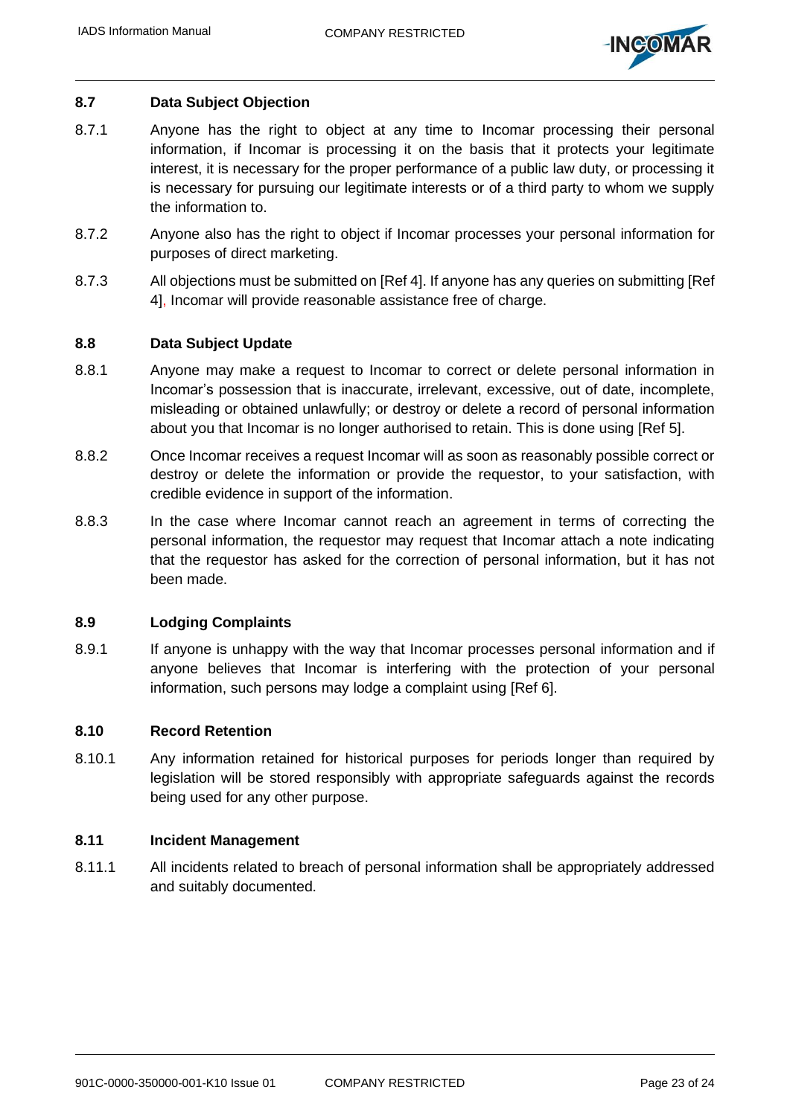

## <span id="page-22-0"></span>**8.7 Data Subject Objection**

- 8.7.1 Anyone has the right to object at any time to Incomar processing their personal information, if Incomar is processing it on the basis that it protects your legitimate interest, it is necessary for the proper performance of a public law duty, or processing it is necessary for pursuing our legitimate interests or of a third party to whom we supply the information to.
- 8.7.2 Anyone also has the right to object if Incomar processes your personal information for purposes of direct marketing.
- 8.7.3 All objections must be submitted o[n \[Ref 4\].](#page-9-5) If anyone has any queries on submitting [\[Ref](#page-9-5)  [4\],](#page-9-5) Incomar will provide reasonable assistance free of charge.

### <span id="page-22-1"></span>**8.8 Data Subject Update**

- 8.8.1 Anyone may make a request to Incomar to correct or delete personal information in Incomar's possession that is inaccurate, irrelevant, excessive, out of date, incomplete, misleading or obtained unlawfully; or destroy or delete a record of personal information about you that Incomar is no longer authorised to retain. This is done using [\[Ref 5\].](#page-9-6)
- 8.8.2 Once Incomar receives a request Incomar will as soon as reasonably possible correct or destroy or delete the information or provide the requestor, to your satisfaction, with credible evidence in support of the information.
- 8.8.3 In the case where Incomar cannot reach an agreement in terms of correcting the personal information, the requestor may request that Incomar attach a note indicating that the requestor has asked for the correction of personal information, but it has not been made.

### <span id="page-22-2"></span>**8.9 Lodging Complaints**

8.9.1 If anyone is unhappy with the way that Incomar processes personal information and if anyone believes that Incomar is interfering with the protection of your personal information, such persons may lodge a complaint using [\[Ref 6\].](#page-9-7)

### <span id="page-22-3"></span>**8.10 Record Retention**

8.10.1 Any information retained for historical purposes for periods longer than required by legislation will be stored responsibly with appropriate safeguards against the records being used for any other purpose.

#### <span id="page-22-4"></span>**8.11 Incident Management**

8.11.1 All incidents related to breach of personal information shall be appropriately addressed and suitably documented.